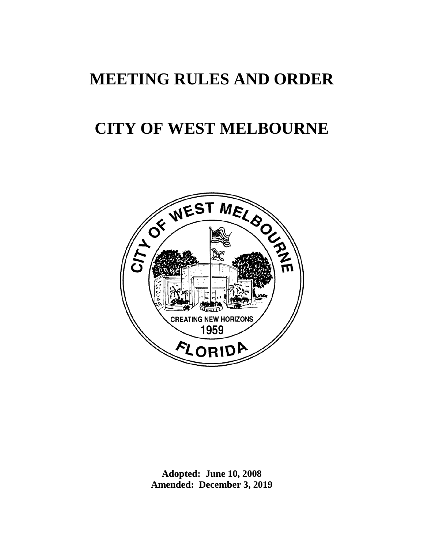# **MEETING RULES AND ORDER**

# **CITY OF WEST MELBOURNE**



**Adopted: June 10, 2008 Amended: December 3, 2019**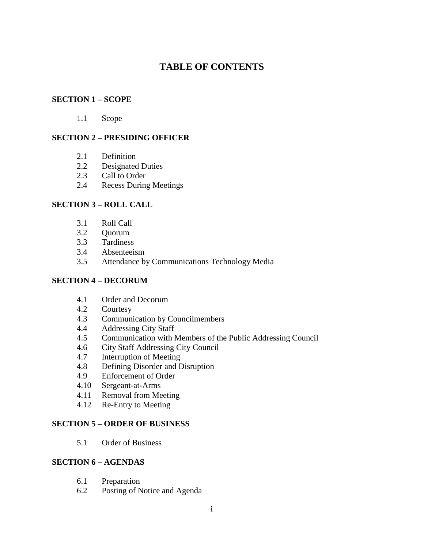# **TABLE OF CONTENTS**

## **SECTION 1 – SCOPE**

1.1 Scope

# **SECTION 2 – PRESIDING OFFICER**

- 2.1 Definition
- 2.2 Designated Duties
- 2.3 Call to Order
- 2.4 Recess During Meetings

# **SECTION 3 – ROLL CALL**

- 3.1 Roll Call
- 3.2 Quorum
- 3.3 Tardiness
- 3.4 Absenteeism
- 3.5 Attendance by Communications Technology Media

## **SECTION 4 – DECORUM**

- 4.1 Order and Decorum
- 4.2 Courtesy
- 4.3 Communication by Councilmembers
- 4.4 Addressing City Staff
- 4.5 Communication with Members of the Public Addressing Council
- 4.6 City Staff Addressing City Council
- 4.7 Interruption of Meeting
- 4.8 Defining Disorder and Disruption
- 4.9 Enforcement of Order
- 4.10 Sergeant-at-Arms
- 4.11 Removal from Meeting
- 4.12 Re-Entry to Meeting

## **SECTION 5 – ORDER OF BUSINESS**

5.1 Order of Business

# **SECTION 6 – AGENDAS**

- 6.1 Preparation
- 6.2 Posting of Notice and Agenda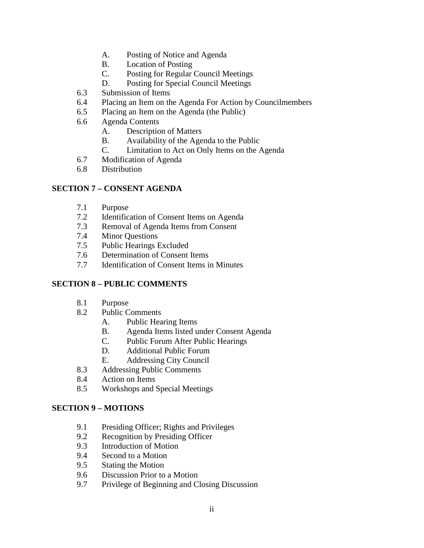- A. Posting of Notice and Agenda
- B. Location of Posting
- C. Posting for Regular Council Meetings
- D. Posting for Special Council Meetings
- 6.3 Submission of Items
- 6.4 Placing an Item on the Agenda For Action by Councilmembers
- 6.5 Placing an Item on the Agenda (the Public)
- 6.6 Agenda Contents
	- A. Description of Matters
	- B. Availability of the Agenda to the Public
	- C. Limitation to Act on Only Items on the Agenda
- 6.7 Modification of Agenda
- 6.8 Distribution

# **SECTION 7 – CONSENT AGENDA**

- 7.1 Purpose
- 7.2 Identification of Consent Items on Agenda<br>7.3 Removal of Agenda Items from Consent
- 7.3 Removal of Agenda Items from Consent
- 7.4 Minor Questions
- 7.5 Public Hearings Excluded
- 7.6 Determination of Consent Items
- 7.7 Identification of Consent Items in Minutes

## **SECTION 8 – PUBLIC COMMENTS**

- 8.1 Purpose
- 8.2 Public Comments
	- A. Public Hearing Items
	- B. Agenda Items listed under Consent Agenda
	- C. Public Forum After Public Hearings
	- D. Additional Public Forum
	- E. Addressing City Council
- 8.3 Addressing Public Comments
- 8.4 Action on Items
- 8.5 Workshops and Special Meetings

## **SECTION 9 – MOTIONS**

- 9.1 Presiding Officer; Rights and Privileges
- 9.2 Recognition by Presiding Officer
- 9.3 Introduction of Motion
- 9.4 Second to a Motion
- 9.5 Stating the Motion
- 9.6 Discussion Prior to a Motion
- 9.7 Privilege of Beginning and Closing Discussion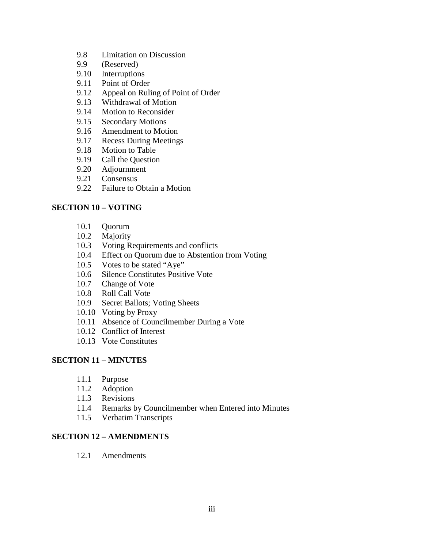- 9.8 Limitation on Discussion
- 9.9 (Reserved)
- 9.10 Interruptions
- 9.11 Point of Order
- 9.12 Appeal on Ruling of Point of Order
- 9.13 Withdrawal of Motion<br>9.14 Motion to Reconsider
- Motion to Reconsider
- 9.15 Secondary Motions
- 9.16 Amendment to Motion
- 9.17 Recess During Meetings
- 9.18 Motion to Table
- 9.19 Call the Question<br>9.20 Adjournment
- 9.20 Adjournment
- 9.21 Consensus
- 9.22 Failure to Obtain a Motion

# **SECTION 10 – VOTING**

- 10.1 Quorum
- 10.2 Majority
- 10.3 Voting Requirements and conflicts
- 10.4 Effect on Quorum due to Abstention from Voting
- 10.5 Votes to be stated "Aye"
- 10.6 Silence Constitutes Positive Vote
- 10.7 Change of Vote
- 10.8 Roll Call Vote
- 10.9 Secret Ballots; Voting Sheets
- 10.10 Voting by Proxy
- 10.11 Absence of Councilmember During a Vote
- 10.12 Conflict of Interest
- 10.13 Vote Constitutes

## **SECTION 11 – MINUTES**

- 11.1 Purpose
- 11.2 Adoption
- 11.3 Revisions
- 11.4 Remarks by Councilmember when Entered into Minutes
- 11.5 Verbatim Transcripts

## **SECTION 12 – AMENDMENTS**

12.1 Amendments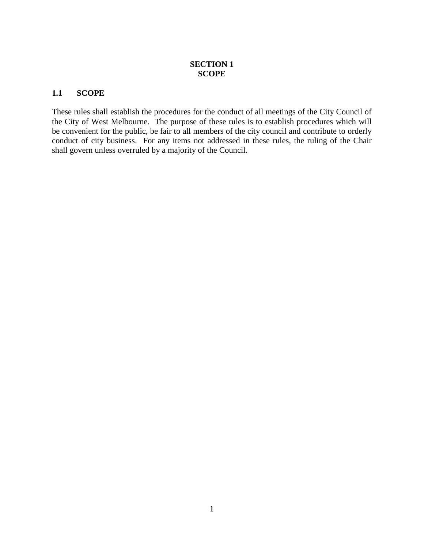# **SECTION 1 SCOPE**

# **1.1 SCOPE**

These rules shall establish the procedures for the conduct of all meetings of the City Council of the City of West Melbourne. The purpose of these rules is to establish procedures which will be convenient for the public, be fair to all members of the city council and contribute to orderly conduct of city business. For any items not addressed in these rules, the ruling of the Chair shall govern unless overruled by a majority of the Council.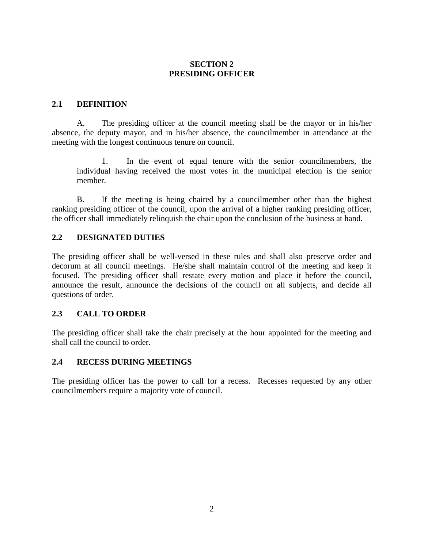# **SECTION 2 PRESIDING OFFICER**

# **2.1 DEFINITION**

A. The presiding officer at the council meeting shall be the mayor or in his/her absence, the deputy mayor, and in his/her absence, the councilmember in attendance at the meeting with the longest continuous tenure on council.

 1. In the event of equal tenure with the senior councilmembers, the individual having received the most votes in the municipal election is the senior member.

B. If the meeting is being chaired by a councilmember other than the highest ranking presiding officer of the council, upon the arrival of a higher ranking presiding officer, the officer shall immediately relinquish the chair upon the conclusion of the business at hand.

# **2.2 DESIGNATED DUTIES**

The presiding officer shall be well-versed in these rules and shall also preserve order and decorum at all council meetings. He/she shall maintain control of the meeting and keep it focused. The presiding officer shall restate every motion and place it before the council, announce the result, announce the decisions of the council on all subjects, and decide all questions of order.

# **2.3 CALL TO ORDER**

The presiding officer shall take the chair precisely at the hour appointed for the meeting and shall call the council to order.

## **2.4 RECESS DURING MEETINGS**

The presiding officer has the power to call for a recess. Recesses requested by any other councilmembers require a majority vote of council.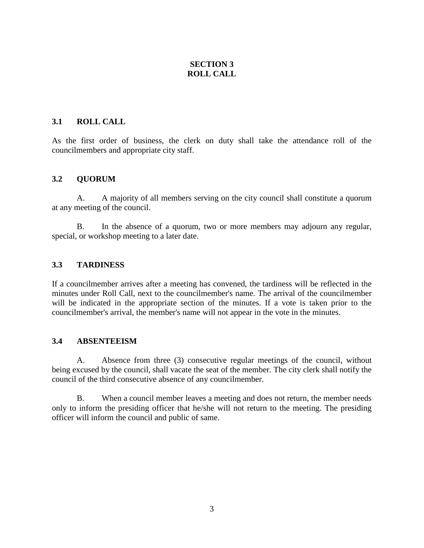# **SECTION 3 ROLL CALL**

# **3.1 ROLL CALL**

As the first order of business, the clerk on duty shall take the attendance roll of the councilmembers and appropriate city staff.

# **3.2 QUORUM**

A. A majority of all members serving on the city council shall constitute a quorum at any meeting of the council.

B. In the absence of a quorum, two or more members may adjourn any regular, special, or workshop meeting to a later date.

# **3.3 TARDINESS**

If a councilmember arrives after a meeting has convened, the tardiness will be reflected in the minutes under Roll Call, next to the councilmember's name. The arrival of the councilmember will be indicated in the appropriate section of the minutes. If a vote is taken prior to the councilmember's arrival, the member's name will not appear in the vote in the minutes.

## **3.4 ABSENTEEISM**

A. Absence from three (3) consecutive regular meetings of the council, without being excused by the council, shall vacate the seat of the member. The city clerk shall notify the council of the third consecutive absence of any councilmember.

B. When a council member leaves a meeting and does not return, the member needs only to inform the presiding officer that he/she will not return to the meeting. The presiding officer will inform the council and public of same.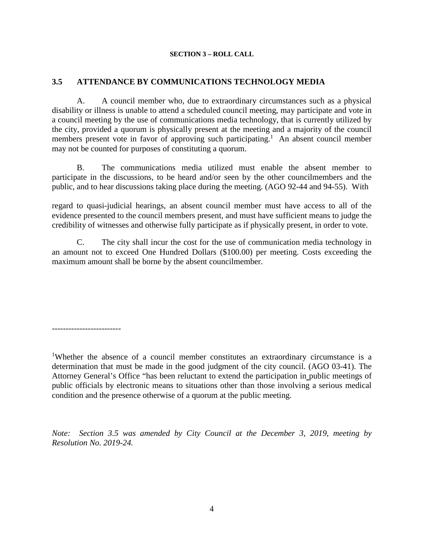#### **SECTION 3 – ROLL CALL**

# **3.5 ATTENDANCE BY COMMUNICATIONS TECHNOLOGY MEDIA**

A. A council member who, due to extraordinary circumstances such as a physical disability or illness is unable to attend a scheduled council meeting, may participate and vote in a council meeting by the use of communications media technology, that is currently utilized by the city, provided a quorum is physically present at the meeting and a majority of the council members present vote in favor of approving such participating.<sup>1</sup> An absent council member may not be counted for purposes of constituting a quorum.

B. The communications media utilized must enable the absent member to participate in the discussions, to be heard and/or seen by the other councilmembers and the public, and to hear discussions taking place during the meeting. (AGO 92-44 and 94-55). With

regard to quasi-judicial hearings, an absent council member must have access to all of the evidence presented to the council members present, and must have sufficient means to judge the credibility of witnesses and otherwise fully participate as if physically present, in order to vote.

C. The city shall incur the cost for the use of communication media technology in an amount not to exceed One Hundred Dollars (\$100.00) per meeting. Costs exceeding the maximum amount shall be borne by the absent councilmember.

-------------------------

<sup>1</sup>Whether the absence of a council member constitutes an extraordinary circumstance is a determination that must be made in the good judgment of the city council. (AGO 03-41). The Attorney General's Office "has been reluctant to extend the participation in public meetings of public officials by electronic means to situations other than those involving a serious medical condition and the presence otherwise of a quorum at the public meeting.

*Note: Section 3.5 was amended by City Council at the December 3, 2019, meeting by Resolution No. 2019-24.*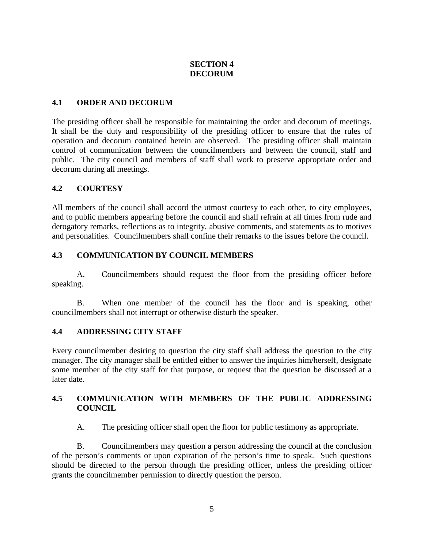# **SECTION 4 DECORUM**

# **4.1 ORDER AND DECORUM**

The presiding officer shall be responsible for maintaining the order and decorum of meetings. It shall be the duty and responsibility of the presiding officer to ensure that the rules of operation and decorum contained herein are observed. The presiding officer shall maintain control of communication between the councilmembers and between the council, staff and public. The city council and members of staff shall work to preserve appropriate order and decorum during all meetings.

## **4.2 COURTESY**

All members of the council shall accord the utmost courtesy to each other, to city employees, and to public members appearing before the council and shall refrain at all times from rude and derogatory remarks, reflections as to integrity, abusive comments, and statements as to motives and personalities. Councilmembers shall confine their remarks to the issues before the council.

# **4.3 COMMUNICATION BY COUNCIL MEMBERS**

A. Councilmembers should request the floor from the presiding officer before speaking.

B. When one member of the council has the floor and is speaking, other councilmembers shall not interrupt or otherwise disturb the speaker.

## **4.4 ADDRESSING CITY STAFF**

Every councilmember desiring to question the city staff shall address the question to the city manager. The city manager shall be entitled either to answer the inquiries him/herself, designate some member of the city staff for that purpose, or request that the question be discussed at a later date.

# **4.5 COMMUNICATION WITH MEMBERS OF THE PUBLIC ADDRESSING COUNCIL**

A. The presiding officer shall open the floor for public testimony as appropriate.

B. Councilmembers may question a person addressing the council at the conclusion of the person's comments or upon expiration of the person's time to speak. Such questions should be directed to the person through the presiding officer, unless the presiding officer grants the councilmember permission to directly question the person.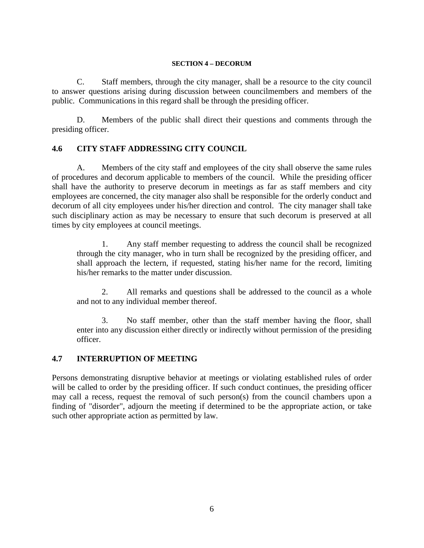#### **SECTION 4 – DECORUM**

C. Staff members, through the city manager, shall be a resource to the city council to answer questions arising during discussion between councilmembers and members of the public. Communications in this regard shall be through the presiding officer.

D. Members of the public shall direct their questions and comments through the presiding officer.

# **4.6 CITY STAFF ADDRESSING CITY COUNCIL**

A. Members of the city staff and employees of the city shall observe the same rules of procedures and decorum applicable to members of the council. While the presiding officer shall have the authority to preserve decorum in meetings as far as staff members and city employees are concerned, the city manager also shall be responsible for the orderly conduct and decorum of all city employees under his/her direction and control. The city manager shall take such disciplinary action as may be necessary to ensure that such decorum is preserved at all times by city employees at council meetings.

 1. Any staff member requesting to address the council shall be recognized through the city manager, who in turn shall be recognized by the presiding officer, and shall approach the lectern, if requested, stating his/her name for the record, limiting his/her remarks to the matter under discussion.

 2. All remarks and questions shall be addressed to the council as a whole and not to any individual member thereof.

 3. No staff member, other than the staff member having the floor, shall enter into any discussion either directly or indirectly without permission of the presiding officer.

# **4.7 INTERRUPTION OF MEETING**

Persons demonstrating disruptive behavior at meetings or violating established rules of order will be called to order by the presiding officer. If such conduct continues, the presiding officer may call a recess, request the removal of such person(s) from the council chambers upon a finding of "disorder", adjourn the meeting if determined to be the appropriate action, or take such other appropriate action as permitted by law.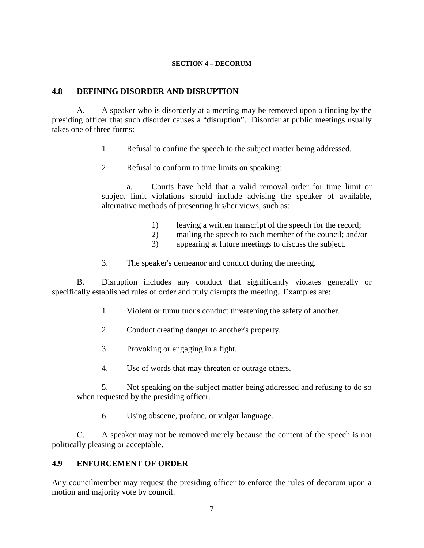#### **SECTION 4 – DECORUM**

# **4.8 DEFINING DISORDER AND DISRUPTION**

A. A speaker who is disorderly at a meeting may be removed upon a finding by the presiding officer that such disorder causes a "disruption". Disorder at public meetings usually takes one of three forms:

- 1. Refusal to confine the speech to the subject matter being addressed.
- 2. Refusal to conform to time limits on speaking:

a. Courts have held that a valid removal order for time limit or subject limit violations should include advising the speaker of available, alternative methods of presenting his/her views, such as:

- 1) leaving a written transcript of the speech for the record;
- 2) mailing the speech to each member of the council; and/or
- 3) appearing at future meetings to discuss the subject.
- 3. The speaker's demeanor and conduct during the meeting.

B. Disruption includes any conduct that significantly violates generally or specifically established rules of order and truly disrupts the meeting. Examples are:

- 1. Violent or tumultuous conduct threatening the safety of another.
- 2. Conduct creating danger to another's property.
- 3. Provoking or engaging in a fight.
- 4. Use of words that may threaten or outrage others.

 5. Not speaking on the subject matter being addressed and refusing to do so when requested by the presiding officer.

6. Using obscene, profane, or vulgar language.

 C. A speaker may not be removed merely because the content of the speech is not politically pleasing or acceptable.

# **4.9 ENFORCEMENT OF ORDER**

Any councilmember may request the presiding officer to enforce the rules of decorum upon a motion and majority vote by council.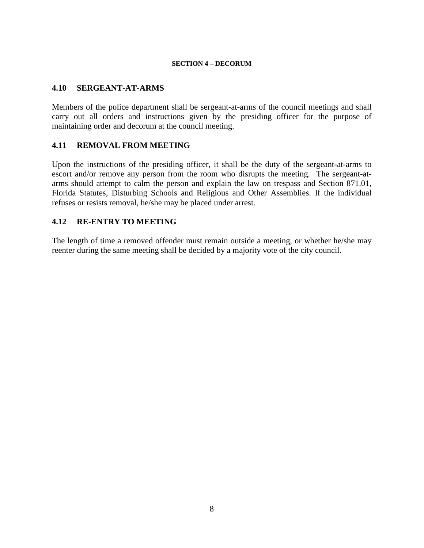#### **SECTION 4 – DECORUM**

## **4.10 SERGEANT-AT-ARMS**

Members of the police department shall be sergeant-at-arms of the council meetings and shall carry out all orders and instructions given by the presiding officer for the purpose of maintaining order and decorum at the council meeting.

## **4.11 REMOVAL FROM MEETING**

Upon the instructions of the presiding officer, it shall be the duty of the sergeant-at-arms to escort and/or remove any person from the room who disrupts the meeting. The sergeant-atarms should attempt to calm the person and explain the law on trespass and Section 871.01, Florida Statutes, Disturbing Schools and Religious and Other Assemblies. If the individual refuses or resists removal, he/she may be placed under arrest.

## **4.12 RE-ENTRY TO MEETING**

The length of time a removed offender must remain outside a meeting, or whether he/she may reenter during the same meeting shall be decided by a majority vote of the city council.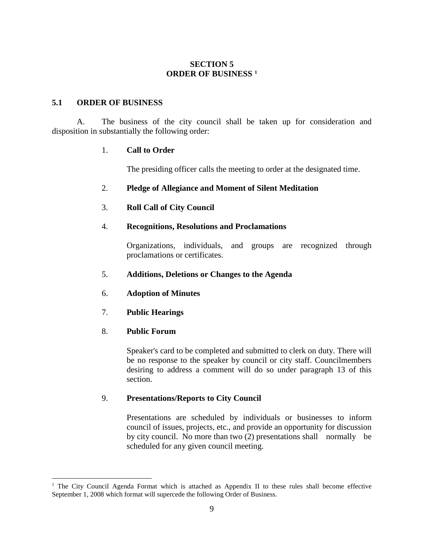# **SECTION 5 ORDER OF BUSINESS [1](#page-12-0)**

# **5.1 ORDER OF BUSINESS**

A. The business of the city council shall be taken up for consideration and disposition in substantially the following order:

# 1. **Call to Order**

The presiding officer calls the meeting to order at the designated time.

# 2. **Pledge of Allegiance and Moment of Silent Meditation**

# 3. **Roll Call of City Council**

# 4. **Recognitions, Resolutions and Proclamations**

Organizations, individuals, and groups are recognized through proclamations or certificates.

## 5. **Additions, Deletions or Changes to the Agenda**

- 6. **Adoption of Minutes**
- 7. **Public Hearings**

## 8. **Public Forum**

 $\overline{a}$ 

Speaker's card to be completed and submitted to clerk on duty. There will be no response to the speaker by council or city staff. Councilmembers desiring to address a comment will do so under paragraph 13 of this section.

# 9. **Presentations/Reports to City Council**

Presentations are scheduled by individuals or businesses to inform council of issues, projects, etc., and provide an opportunity for discussion by city council. No more than two (2) presentations shall normally be scheduled for any given council meeting.

<span id="page-12-0"></span><sup>&</sup>lt;sup>1</sup> The City Council Agenda Format which is attached as Appendix II to these rules shall become effective September 1, 2008 which format will supercede the following Order of Business.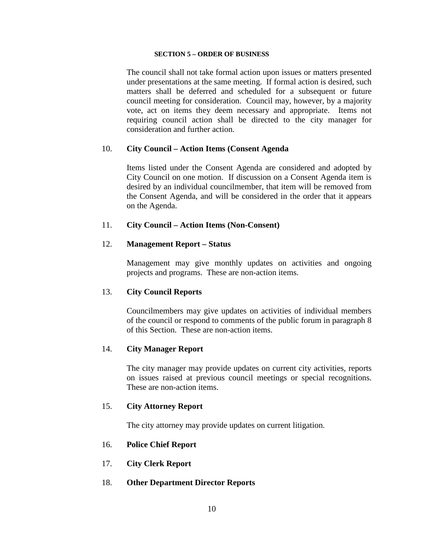#### **SECTION 5 – ORDER OF BUSINESS**

The council shall not take formal action upon issues or matters presented under presentations at the same meeting. If formal action is desired, such matters shall be deferred and scheduled for a subsequent or future council meeting for consideration. Council may, however, by a majority vote, act on items they deem necessary and appropriate. Items not requiring council action shall be directed to the city manager for consideration and further action.

## 10. **City Council – Action Items (Consent Agenda**

Items listed under the Consent Agenda are considered and adopted by City Council on one motion. If discussion on a Consent Agenda item is desired by an individual councilmember, that item will be removed from the Consent Agenda, and will be considered in the order that it appears on the Agenda.

#### 11. **City Council – Action Items (Non-Consent)**

#### 12. **Management Report – Status**

Management may give monthly updates on activities and ongoing projects and programs. These are non-action items.

#### 13. **City Council Reports**

Councilmembers may give updates on activities of individual members of the council or respond to comments of the public forum in paragraph 8 of this Section. These are non-action items.

#### 14. **City Manager Report**

The city manager may provide updates on current city activities, reports on issues raised at previous council meetings or special recognitions. These are non-action items.

#### 15. **City Attorney Report**

The city attorney may provide updates on current litigation.

## 16. **Police Chief Report**

17. **City Clerk Report**

#### 18. **Other Department Director Reports**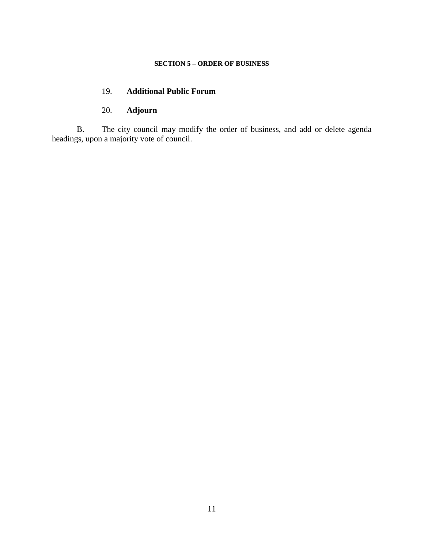#### **SECTION 5 – ORDER OF BUSINESS**

# 19. **Additional Public Forum**

# 20. **Adjourn**

B. The city council may modify the order of business, and add or delete agenda headings, upon a majority vote of council.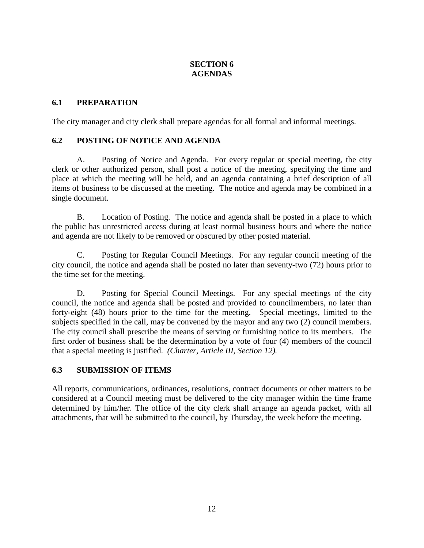# **SECTION 6 AGENDAS**

# **6.1 PREPARATION**

The city manager and city clerk shall prepare agendas for all formal and informal meetings.

# **6.2 POSTING OF NOTICE AND AGENDA**

A. Posting of Notice and Agenda. For every regular or special meeting, the city clerk or other authorized person, shall post a notice of the meeting, specifying the time and place at which the meeting will be held, and an agenda containing a brief description of all items of business to be discussed at the meeting. The notice and agenda may be combined in a single document.

B. Location of Posting. The notice and agenda shall be posted in a place to which the public has unrestricted access during at least normal business hours and where the notice and agenda are not likely to be removed or obscured by other posted material.

C. Posting for Regular Council Meetings. For any regular council meeting of the city council, the notice and agenda shall be posted no later than seventy-two (72) hours prior to the time set for the meeting.

D. Posting for Special Council Meetings. For any special meetings of the city council, the notice and agenda shall be posted and provided to councilmembers, no later than forty-eight (48) hours prior to the time for the meeting.Special meetings, limited to the subjects specified in the call, may be convened by the mayor and any two (2) council members. The city council shall prescribe the means of serving or furnishing notice to its members. The first order of business shall be the determination by a vote of four (4) members of the council that a special meeting is justified. *(Charter, Article III, Section 12).*

# **6.3 SUBMISSION OF ITEMS**

All reports, communications, ordinances, resolutions, contract documents or other matters to be considered at a Council meeting must be delivered to the city manager within the time frame determined by him/her. The office of the city clerk shall arrange an agenda packet, with all attachments, that will be submitted to the council, by Thursday, the week before the meeting.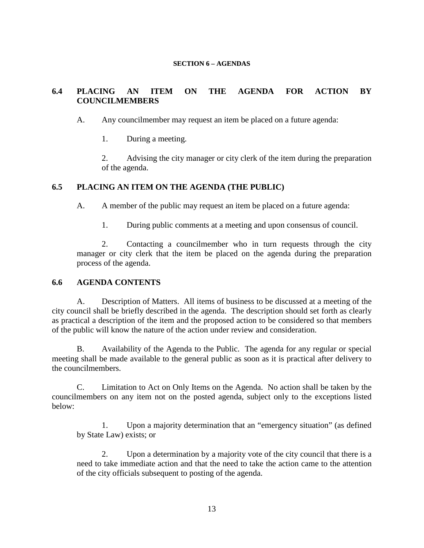#### **SECTION 6 – AGENDAS**

# **6.4 PLACING AN ITEM ON THE AGENDA FOR ACTION BY COUNCILMEMBERS**

A. Any councilmember may request an item be placed on a future agenda:

1. During a meeting.

2. Advising the city manager or city clerk of the item during the preparation of the agenda.

# **6.5 PLACING AN ITEM ON THE AGENDA (THE PUBLIC)**

A. A member of the public may request an item be placed on a future agenda:

1. During public comments at a meeting and upon consensus of council.

 2. Contacting a councilmember who in turn requests through the city manager or city clerk that the item be placed on the agenda during the preparation process of the agenda.

## **6.6 AGENDA CONTENTS**

A. Description of Matters. All items of business to be discussed at a meeting of the city council shall be briefly described in the agenda. The description should set forth as clearly as practical a description of the item and the proposed action to be considered so that members of the public will know the nature of the action under review and consideration.

B. Availability of the Agenda to the Public. The agenda for any regular or special meeting shall be made available to the general public as soon as it is practical after delivery to the councilmembers.

C. Limitation to Act on Only Items on the Agenda. No action shall be taken by the councilmembers on any item not on the posted agenda, subject only to the exceptions listed below:

 1. Upon a majority determination that an "emergency situation" (as defined by State Law) exists; or

 2. Upon a determination by a majority vote of the city council that there is a need to take immediate action and that the need to take the action came to the attention of the city officials subsequent to posting of the agenda.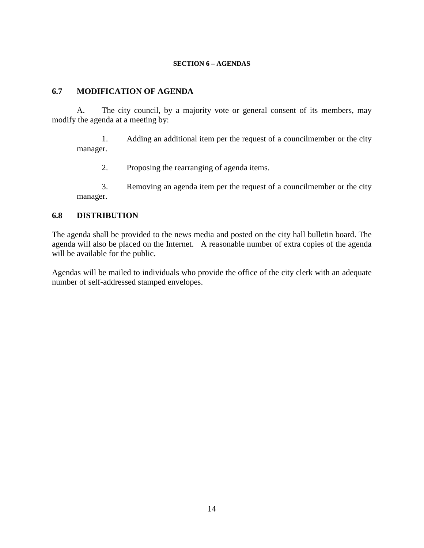#### **SECTION 6 – AGENDAS**

# **6.7 MODIFICATION OF AGENDA**

A. The city council, by a majority vote or general consent of its members, may modify the agenda at a meeting by:

 1. Adding an additional item per the request of a councilmember or the city manager.

2. Proposing the rearranging of agenda items.

 3. Removing an agenda item per the request of a councilmember or the city manager.

## **6.8 DISTRIBUTION**

The agenda shall be provided to the news media and posted on the city hall bulletin board. The agenda will also be placed on the Internet. A reasonable number of extra copies of the agenda will be available for the public.

Agendas will be mailed to individuals who provide the office of the city clerk with an adequate number of self-addressed stamped envelopes.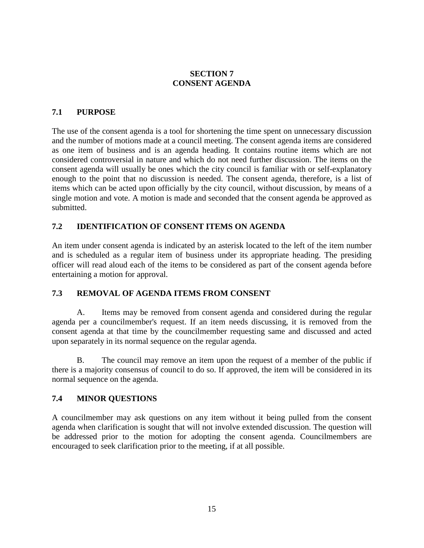# **SECTION 7 CONSENT AGENDA**

# **7.1 PURPOSE**

The use of the consent agenda is a tool for shortening the time spent on unnecessary discussion and the number of motions made at a council meeting. The consent agenda items are considered as one item of business and is an agenda heading. It contains routine items which are not considered controversial in nature and which do not need further discussion. The items on the consent agenda will usually be ones which the city council is familiar with or self-explanatory enough to the point that no discussion is needed. The consent agenda, therefore, is a list of items which can be acted upon officially by the city council, without discussion, by means of a single motion and vote. A motion is made and seconded that the consent agenda be approved as submitted.

# **7.2 IDENTIFICATION OF CONSENT ITEMS ON AGENDA**

An item under consent agenda is indicated by an asterisk located to the left of the item number and is scheduled as a regular item of business under its appropriate heading. The presiding officer will read aloud each of the items to be considered as part of the consent agenda before entertaining a motion for approval.

## **7.3 REMOVAL OF AGENDA ITEMS FROM CONSENT**

A. Items may be removed from consent agenda and considered during the regular agenda per a councilmember's request. If an item needs discussing, it is removed from the consent agenda at that time by the councilmember requesting same and discussed and acted upon separately in its normal sequence on the regular agenda.

B. The council may remove an item upon the request of a member of the public if there is a majority consensus of council to do so. If approved, the item will be considered in its normal sequence on the agenda.

## **7.4 MINOR QUESTIONS**

A councilmember may ask questions on any item without it being pulled from the consent agenda when clarification is sought that will not involve extended discussion. The question will be addressed prior to the motion for adopting the consent agenda. Councilmembers are encouraged to seek clarification prior to the meeting, if at all possible.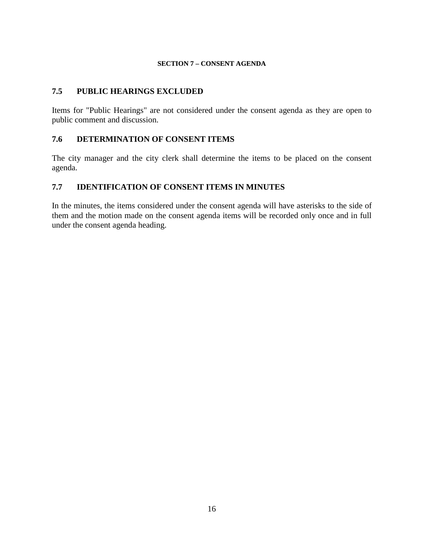#### **SECTION 7 – CONSENT AGENDA**

## **7.5 PUBLIC HEARINGS EXCLUDED**

Items for "Public Hearings" are not considered under the consent agenda as they are open to public comment and discussion.

## **7.6 DETERMINATION OF CONSENT ITEMS**

The city manager and the city clerk shall determine the items to be placed on the consent agenda.

## **7.7 IDENTIFICATION OF CONSENT ITEMS IN MINUTES**

In the minutes, the items considered under the consent agenda will have asterisks to the side of them and the motion made on the consent agenda items will be recorded only once and in full under the consent agenda heading.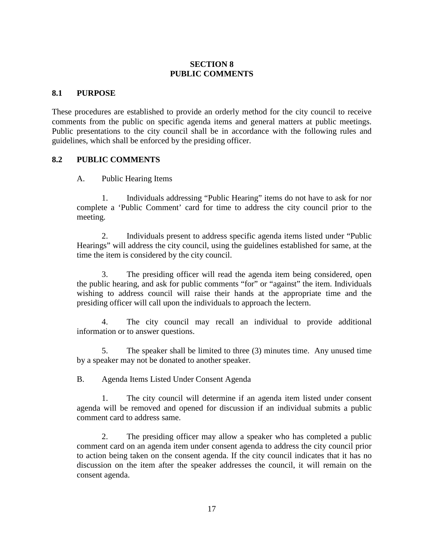# **SECTION 8 PUBLIC COMMENTS**

## **8.1 PURPOSE**

These procedures are established to provide an orderly method for the city council to receive comments from the public on specific agenda items and general matters at public meetings. Public presentations to the city council shall be in accordance with the following rules and guidelines, which shall be enforced by the presiding officer.

#### **8.2 PUBLIC COMMENTS**

A. Public Hearing Items

 1. Individuals addressing "Public Hearing" items do not have to ask for nor complete a 'Public Comment' card for time to address the city council prior to the meeting.

 2. Individuals present to address specific agenda items listed under "Public Hearings" will address the city council, using the guidelines established for same, at the time the item is considered by the city council.

 3. The presiding officer will read the agenda item being considered, open the public hearing, and ask for public comments "for" or "against" the item. Individuals wishing to address council will raise their hands at the appropriate time and the presiding officer will call upon the individuals to approach the lectern.

 4. The city council may recall an individual to provide additional information or to answer questions.

 5. The speaker shall be limited to three (3) minutes time. Any unused time by a speaker may not be donated to another speaker.

B. Agenda Items Listed Under Consent Agenda

 1. The city council will determine if an agenda item listed under consent agenda will be removed and opened for discussion if an individual submits a public comment card to address same.

 2. The presiding officer may allow a speaker who has completed a public comment card on an agenda item under consent agenda to address the city council prior to action being taken on the consent agenda. If the city council indicates that it has no discussion on the item after the speaker addresses the council, it will remain on the consent agenda.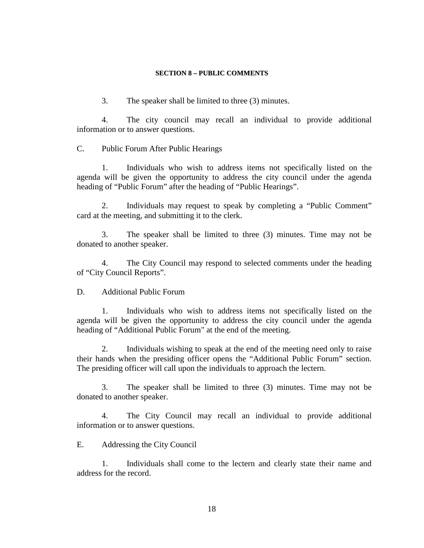#### **SECTION 8 – PUBLIC COMMENTS**

3. The speaker shall be limited to three (3) minutes.

 4. The city council may recall an individual to provide additional information or to answer questions.

C. Public Forum After Public Hearings

 1. Individuals who wish to address items not specifically listed on the agenda will be given the opportunity to address the city council under the agenda heading of "Public Forum" after the heading of "Public Hearings".

 2. Individuals may request to speak by completing a "Public Comment" card at the meeting, and submitting it to the clerk.

 3. The speaker shall be limited to three (3) minutes. Time may not be donated to another speaker.

 4. The City Council may respond to selected comments under the heading of "City Council Reports".

D. Additional Public Forum

 1. Individuals who wish to address items not specifically listed on the agenda will be given the opportunity to address the city council under the agenda heading of "Additional Public Forum" at the end of the meeting.

 2. Individuals wishing to speak at the end of the meeting need only to raise their hands when the presiding officer opens the "Additional Public Forum" section. The presiding officer will call upon the individuals to approach the lectern.

 3. The speaker shall be limited to three (3) minutes. Time may not be donated to another speaker.

 4. The City Council may recall an individual to provide additional information or to answer questions.

E. Addressing the City Council

 1. Individuals shall come to the lectern and clearly state their name and address for the record.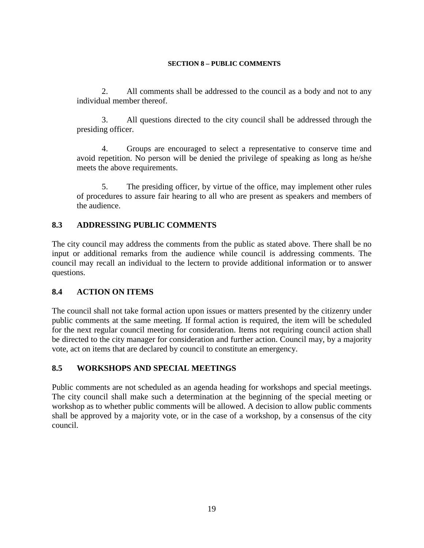#### **SECTION 8 – PUBLIC COMMENTS**

 2. All comments shall be addressed to the council as a body and not to any individual member thereof.

 3. All questions directed to the city council shall be addressed through the presiding officer.

 4. Groups are encouraged to select a representative to conserve time and avoid repetition. No person will be denied the privilege of speaking as long as he/she meets the above requirements.

 5. The presiding officer, by virtue of the office, may implement other rules of procedures to assure fair hearing to all who are present as speakers and members of the audience.

# **8.3 ADDRESSING PUBLIC COMMENTS**

The city council may address the comments from the public as stated above. There shall be no input or additional remarks from the audience while council is addressing comments. The council may recall an individual to the lectern to provide additional information or to answer questions.

## **8.4 ACTION ON ITEMS**

The council shall not take formal action upon issues or matters presented by the citizenry under public comments at the same meeting. If formal action is required, the item will be scheduled for the next regular council meeting for consideration. Items not requiring council action shall be directed to the city manager for consideration and further action. Council may, by a majority vote, act on items that are declared by council to constitute an emergency.

## **8.5 WORKSHOPS AND SPECIAL MEETINGS**

Public comments are not scheduled as an agenda heading for workshops and special meetings. The city council shall make such a determination at the beginning of the special meeting or workshop as to whether public comments will be allowed. A decision to allow public comments shall be approved by a majority vote, or in the case of a workshop, by a consensus of the city council.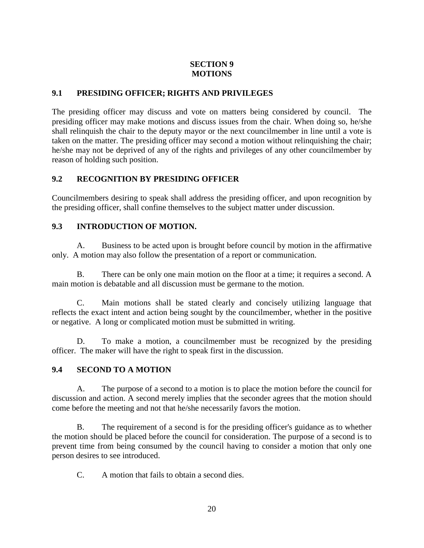# **9.1 PRESIDING OFFICER; RIGHTS AND PRIVILEGES**

The presiding officer may discuss and vote on matters being considered by council. The presiding officer may make motions and discuss issues from the chair. When doing so, he/she shall relinquish the chair to the deputy mayor or the next councilmember in line until a vote is taken on the matter. The presiding officer may second a motion without relinquishing the chair; he/she may not be deprived of any of the rights and privileges of any other councilmember by reason of holding such position.

# **9.2 RECOGNITION BY PRESIDING OFFICER**

Councilmembers desiring to speak shall address the presiding officer, and upon recognition by the presiding officer, shall confine themselves to the subject matter under discussion.

# **9.3 INTRODUCTION OF MOTION.**

A. Business to be acted upon is brought before council by motion in the affirmative only. A motion may also follow the presentation of a report or communication.

B. There can be only one main motion on the floor at a time; it requires a second. A main motion is debatable and all discussion must be germane to the motion.

C. Main motions shall be stated clearly and concisely utilizing language that reflects the exact intent and action being sought by the councilmember, whether in the positive or negative. A long or complicated motion must be submitted in writing.

D. To make a motion, a councilmember must be recognized by the presiding officer. The maker will have the right to speak first in the discussion.

# **9.4 SECOND TO A MOTION**

A. The purpose of a second to a motion is to place the motion before the council for discussion and action. A second merely implies that the seconder agrees that the motion should come before the meeting and not that he/she necessarily favors the motion.

B. The requirement of a second is for the presiding officer's guidance as to whether the motion should be placed before the council for consideration. The purpose of a second is to prevent time from being consumed by the council having to consider a motion that only one person desires to see introduced.

C. A motion that fails to obtain a second dies.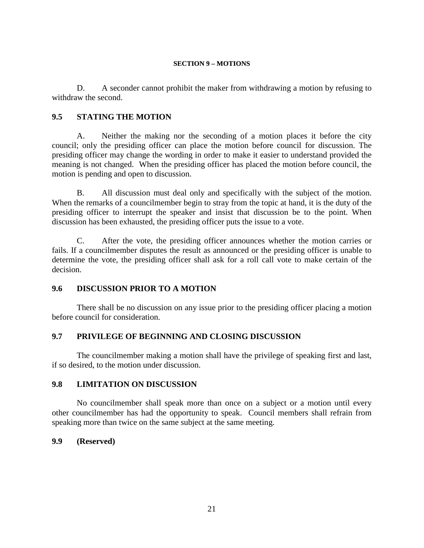D. A seconder cannot prohibit the maker from withdrawing a motion by refusing to withdraw the second.

## **9.5 STATING THE MOTION**

A. Neither the making nor the seconding of a motion places it before the city council; only the presiding officer can place the motion before council for discussion. The presiding officer may change the wording in order to make it easier to understand provided the meaning is not changed. When the presiding officer has placed the motion before council, the motion is pending and open to discussion.

B. All discussion must deal only and specifically with the subject of the motion. When the remarks of a councilmember begin to stray from the topic at hand, it is the duty of the presiding officer to interrupt the speaker and insist that discussion be to the point. When discussion has been exhausted, the presiding officer puts the issue to a vote.

C. After the vote, the presiding officer announces whether the motion carries or fails. If a councilmember disputes the result as announced or the presiding officer is unable to determine the vote, the presiding officer shall ask for a roll call vote to make certain of the decision.

## **9.6 DISCUSSION PRIOR TO A MOTION**

There shall be no discussion on any issue prior to the presiding officer placing a motion before council for consideration.

# **9.7 PRIVILEGE OF BEGINNING AND CLOSING DISCUSSION**

The councilmember making a motion shall have the privilege of speaking first and last, if so desired, to the motion under discussion.

## **9.8 LIMITATION ON DISCUSSION**

No councilmember shall speak more than once on a subject or a motion until every other councilmember has had the opportunity to speak. Council members shall refrain from speaking more than twice on the same subject at the same meeting.

## **9.9 (Reserved)**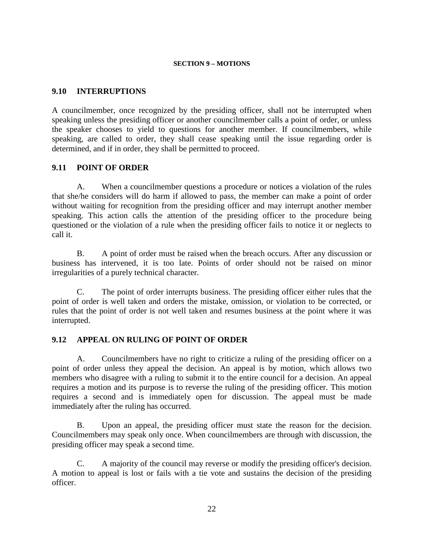## **9.10 INTERRUPTIONS**

A councilmember, once recognized by the presiding officer, shall not be interrupted when speaking unless the presiding officer or another councilmember calls a point of order, or unless the speaker chooses to yield to questions for another member. If councilmembers, while speaking, are called to order, they shall cease speaking until the issue regarding order is determined, and if in order, they shall be permitted to proceed.

#### **9.11 POINT OF ORDER**

A. When a councilmember questions a procedure or notices a violation of the rules that she/he considers will do harm if allowed to pass, the member can make a point of order without waiting for recognition from the presiding officer and may interrupt another member speaking. This action calls the attention of the presiding officer to the procedure being questioned or the violation of a rule when the presiding officer fails to notice it or neglects to call it.

B. A point of order must be raised when the breach occurs. After any discussion or business has intervened, it is too late. Points of order should not be raised on minor irregularities of a purely technical character.

C. The point of order interrupts business. The presiding officer either rules that the point of order is well taken and orders the mistake, omission, or violation to be corrected, or rules that the point of order is not well taken and resumes business at the point where it was interrupted.

## **9.12 APPEAL ON RULING OF POINT OF ORDER**

A. Councilmembers have no right to criticize a ruling of the presiding officer on a point of order unless they appeal the decision. An appeal is by motion, which allows two members who disagree with a ruling to submit it to the entire council for a decision. An appeal requires a motion and its purpose is to reverse the ruling of the presiding officer. This motion requires a second and is immediately open for discussion. The appeal must be made immediately after the ruling has occurred.

B. Upon an appeal, the presiding officer must state the reason for the decision. Councilmembers may speak only once. When councilmembers are through with discussion, the presiding officer may speak a second time.

C. A majority of the council may reverse or modify the presiding officer's decision. A motion to appeal is lost or fails with a tie vote and sustains the decision of the presiding officer.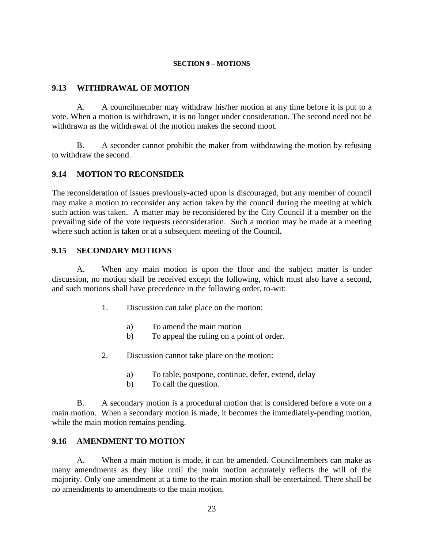## **9.13 WITHDRAWAL OF MOTION**

A. A councilmember may withdraw his/her motion at any time before it is put to a vote. When a motion is withdrawn, it is no longer under consideration. The second need not be withdrawn as the withdrawal of the motion makes the second moot.

B. A seconder cannot prohibit the maker from withdrawing the motion by refusing to withdraw the second.

# **9.14 MOTION TO RECONSIDER**

The reconsideration of issues previously-acted upon is discouraged, but any member of council may make a motion to reconsider any action taken by the council during the meeting at which such action was taken. A matter may be reconsidered by the City Council if a member on the prevailing side of the vote requests reconsideration. Such a motion may be made at a meeting where such action is taken or at a subsequent meeting of the Council**.** 

## **9.15 SECONDARY MOTIONS**

A. When any main motion is upon the floor and the subject matter is under discussion, no motion shall be received except the following, which must also have a second, and such motions shall have precedence in the following order, to-wit:

- 1. Discussion can take place on the motion:
	- a) To amend the main motion
	- b) To appeal the ruling on a point of order.
- 2. Discussion cannot take place on the motion:
	- a) To table, postpone, continue, defer, extend, delay
	- b) To call the question.

B. A secondary motion is a procedural motion that is considered before a vote on a main motion. When a secondary motion is made, it becomes the immediately-pending motion, while the main motion remains pending.

# **9.16 AMENDMENT TO MOTION**

A. When a main motion is made, it can be amended. Councilmembers can make as many amendments as they like until the main motion accurately reflects the will of the majority. Only one amendment at a time to the main motion shall be entertained. There shall be no amendments to amendments to the main motion.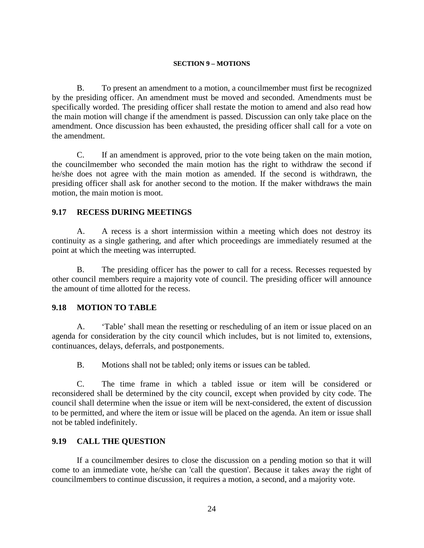B. To present an amendment to a motion, a councilmember must first be recognized by the presiding officer. An amendment must be moved and seconded. Amendments must be specifically worded. The presiding officer shall restate the motion to amend and also read how the main motion will change if the amendment is passed. Discussion can only take place on the amendment. Once discussion has been exhausted, the presiding officer shall call for a vote on the amendment.

C. If an amendment is approved, prior to the vote being taken on the main motion, the councilmember who seconded the main motion has the right to withdraw the second if he/she does not agree with the main motion as amended. If the second is withdrawn, the presiding officer shall ask for another second to the motion. If the maker withdraws the main motion, the main motion is moot.

## **9.17 RECESS DURING MEETINGS**

A. A recess is a short intermission within a meeting which does not destroy its continuity as a single gathering, and after which proceedings are immediately resumed at the point at which the meeting was interrupted.

B. The presiding officer has the power to call for a recess. Recesses requested by other council members require a majority vote of council. The presiding officer will announce the amount of time allotted for the recess.

#### **9.18 MOTION TO TABLE**

A. 'Table' shall mean the resetting or rescheduling of an item or issue placed on an agenda for consideration by the city council which includes, but is not limited to, extensions, continuances, delays, deferrals, and postponements.

B. Motions shall not be tabled; only items or issues can be tabled.

C. The time frame in which a tabled issue or item will be considered or reconsidered shall be determined by the city council, except when provided by city code. The council shall determine when the issue or item will be next-considered, the extent of discussion to be permitted, and where the item or issue will be placed on the agenda. An item or issue shall not be tabled indefinitely.

## **9.19 CALL THE QUESTION**

If a councilmember desires to close the discussion on a pending motion so that it will come to an immediate vote, he/she can 'call the question'. Because it takes away the right of councilmembers to continue discussion, it requires a motion, a second, and a majority vote.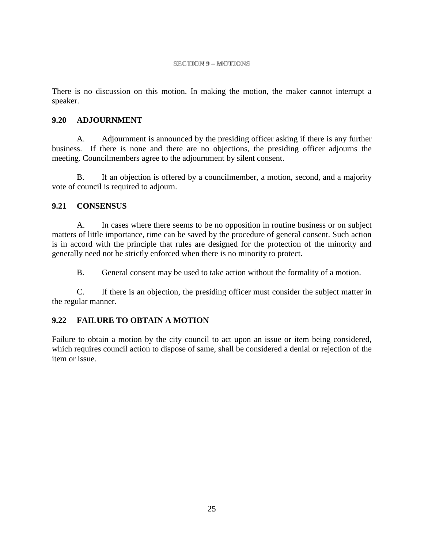There is no discussion on this motion. In making the motion, the maker cannot interrupt a speaker.

# **9.20 ADJOURNMENT**

A. Adjournment is announced by the presiding officer asking if there is any further business. If there is none and there are no objections, the presiding officer adjourns the meeting. Councilmembers agree to the adjournment by silent consent.

B. If an objection is offered by a councilmember, a motion, second, and a majority vote of council is required to adjourn.

# **9.21 CONSENSUS**

A. In cases where there seems to be no opposition in routine business or on subject matters of little importance, time can be saved by the procedure of general consent. Such action is in accord with the principle that rules are designed for the protection of the minority and generally need not be strictly enforced when there is no minority to protect.

B. General consent may be used to take action without the formality of a motion.

C. If there is an objection, the presiding officer must consider the subject matter in the regular manner.

# **9.22 FAILURE TO OBTAIN A MOTION**

Failure to obtain a motion by the city council to act upon an issue or item being considered, which requires council action to dispose of same, shall be considered a denial or rejection of the item or issue.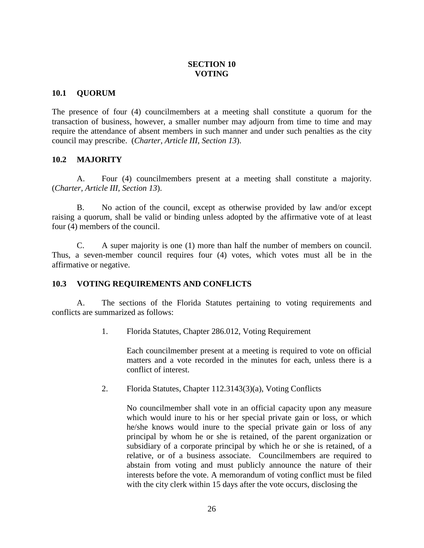## **SECTION 10 VOTING**

# **10.1 QUORUM**

The presence of four (4) councilmembers at a meeting shall constitute a quorum for the transaction of business, however, a smaller number may adjourn from time to time and may require the attendance of absent members in such manner and under such penalties as the city council may prescribe. (*Charter, Article III, Section 13*).

# **10.2 MAJORITY**

A. Four (4) councilmembers present at a meeting shall constitute a majority. (*Charter, Article III, Section 13*).

B. No action of the council, except as otherwise provided by law and/or except raising a quorum, shall be valid or binding unless adopted by the affirmative vote of at least four (4) members of the council.

C. A super majority is one (1) more than half the number of members on council. Thus, a seven-member council requires four (4) votes, which votes must all be in the affirmative or negative.

## **10.3 VOTING REQUIREMENTS AND CONFLICTS**

A. The sections of the Florida Statutes pertaining to voting requirements and conflicts are summarized as follows:

1. Florida Statutes, Chapter 286.012, Voting Requirement

Each councilmember present at a meeting is required to vote on official matters and a vote recorded in the minutes for each, unless there is a conflict of interest.

2. Florida Statutes, Chapter 112.3143(3)(a), Voting Conflicts

No councilmember shall vote in an official capacity upon any measure which would inure to his or her special private gain or loss, or which he/she knows would inure to the special private gain or loss of any principal by whom he or she is retained, of the parent organization or subsidiary of a corporate principal by which he or she is retained, of a relative, or of a business associate. Councilmembers are required to abstain from voting and must publicly announce the nature of their interests before the vote. A memorandum of voting conflict must be filed with the city clerk within 15 days after the vote occurs, disclosing the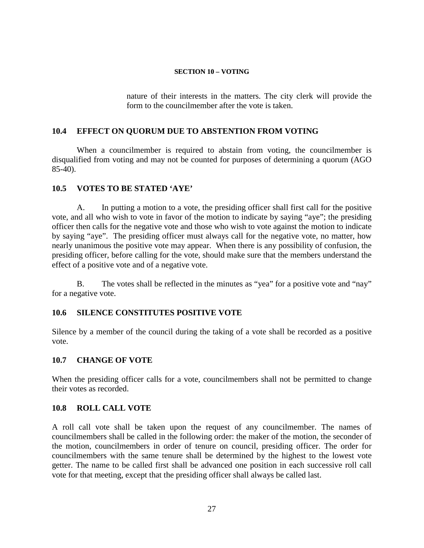#### **SECTION 10 – VOTING**

nature of their interests in the matters. The city clerk will provide the form to the councilmember after the vote is taken.

## **10.4 EFFECT ON QUORUM DUE TO ABSTENTION FROM VOTING**

When a councilmember is required to abstain from voting, the councilmember is disqualified from voting and may not be counted for purposes of determining a quorum (AGO 85-40).

## **10.5 VOTES TO BE STATED 'AYE'**

A. In putting a motion to a vote, the presiding officer shall first call for the positive vote, and all who wish to vote in favor of the motion to indicate by saying "aye"; the presiding officer then calls for the negative vote and those who wish to vote against the motion to indicate by saying "aye". The presiding officer must always call for the negative vote, no matter, how nearly unanimous the positive vote may appear. When there is any possibility of confusion, the presiding officer, before calling for the vote, should make sure that the members understand the effect of a positive vote and of a negative vote.

B. The votes shall be reflected in the minutes as "yea" for a positive vote and "nay" for a negative vote.

# **10.6 SILENCE CONSTITUTES POSITIVE VOTE**

Silence by a member of the council during the taking of a vote shall be recorded as a positive vote.

## **10.7 CHANGE OF VOTE**

When the presiding officer calls for a vote, councilmembers shall not be permitted to change their votes as recorded.

## **10.8 ROLL CALL VOTE**

A roll call vote shall be taken upon the request of any councilmember. The names of councilmembers shall be called in the following order: the maker of the motion, the seconder of the motion, councilmembers in order of tenure on council, presiding officer. The order for councilmembers with the same tenure shall be determined by the highest to the lowest vote getter. The name to be called first shall be advanced one position in each successive roll call vote for that meeting, except that the presiding officer shall always be called last.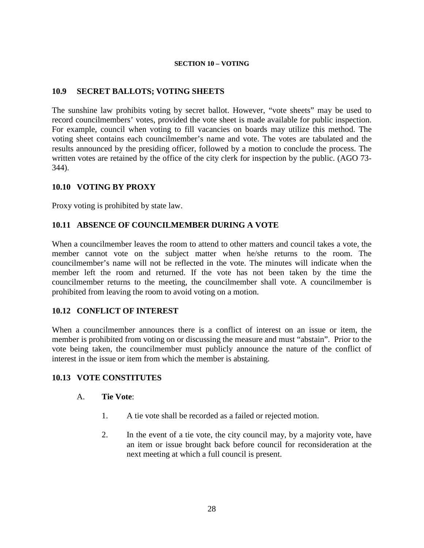#### **SECTION 10 – VOTING**

# **10.9 SECRET BALLOTS; VOTING SHEETS**

The sunshine law prohibits voting by secret ballot. However, "vote sheets" may be used to record councilmembers' votes, provided the vote sheet is made available for public inspection. For example, council when voting to fill vacancies on boards may utilize this method. The voting sheet contains each councilmember's name and vote. The votes are tabulated and the results announced by the presiding officer, followed by a motion to conclude the process. The written votes are retained by the office of the city clerk for inspection by the public. (AGO 73- 344).

## **10.10 VOTING BY PROXY**

Proxy voting is prohibited by state law.

# **10.11 ABSENCE OF COUNCILMEMBER DURING A VOTE**

When a councilmember leaves the room to attend to other matters and council takes a vote, the member cannot vote on the subject matter when he/she returns to the room. The councilmember's name will not be reflected in the vote. The minutes will indicate when the member left the room and returned. If the vote has not been taken by the time the councilmember returns to the meeting, the councilmember shall vote. A councilmember is prohibited from leaving the room to avoid voting on a motion.

## **10.12 CONFLICT OF INTEREST**

When a councilmember announces there is a conflict of interest on an issue or item, the member is prohibited from voting on or discussing the measure and must "abstain". Prior to the vote being taken, the councilmember must publicly announce the nature of the conflict of interest in the issue or item from which the member is abstaining.

## **10.13 VOTE CONSTITUTES**

#### A. **Tie Vote**:

- 1. A tie vote shall be recorded as a failed or rejected motion.
- 2. In the event of a tie vote, the city council may, by a majority vote, have an item or issue brought back before council for reconsideration at the next meeting at which a full council is present.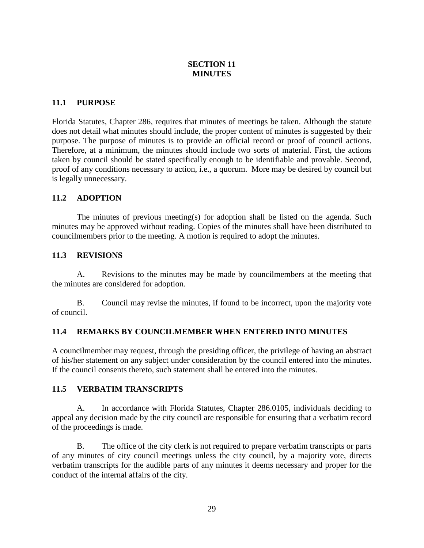# **SECTION 11 MINUTES**

# **11.1 PURPOSE**

Florida Statutes, Chapter 286, requires that minutes of meetings be taken. Although the statute does not detail what minutes should include, the proper content of minutes is suggested by their purpose. The purpose of minutes is to provide an official record or proof of council actions. Therefore, at a minimum, the minutes should include two sorts of material. First, the actions taken by council should be stated specifically enough to be identifiable and provable. Second, proof of any conditions necessary to action, i.e., a quorum. More may be desired by council but is legally unnecessary.

# **11.2 ADOPTION**

The minutes of previous meeting(s) for adoption shall be listed on the agenda. Such minutes may be approved without reading. Copies of the minutes shall have been distributed to councilmembers prior to the meeting. A motion is required to adopt the minutes.

# **11.3 REVISIONS**

A. Revisions to the minutes may be made by councilmembers at the meeting that the minutes are considered for adoption.

B. Council may revise the minutes, if found to be incorrect, upon the majority vote of council.

## **11.4 REMARKS BY COUNCILMEMBER WHEN ENTERED INTO MINUTES**

A councilmember may request, through the presiding officer, the privilege of having an abstract of his/her statement on any subject under consideration by the council entered into the minutes. If the council consents thereto, such statement shall be entered into the minutes.

## **11.5 VERBATIM TRANSCRIPTS**

A. In accordance with Florida Statutes, Chapter 286.0105, individuals deciding to appeal any decision made by the city council are responsible for ensuring that a verbatim record of the proceedings is made.

B. The office of the city clerk is not required to prepare verbatim transcripts or parts of any minutes of city council meetings unless the city council, by a majority vote, directs verbatim transcripts for the audible parts of any minutes it deems necessary and proper for the conduct of the internal affairs of the city.